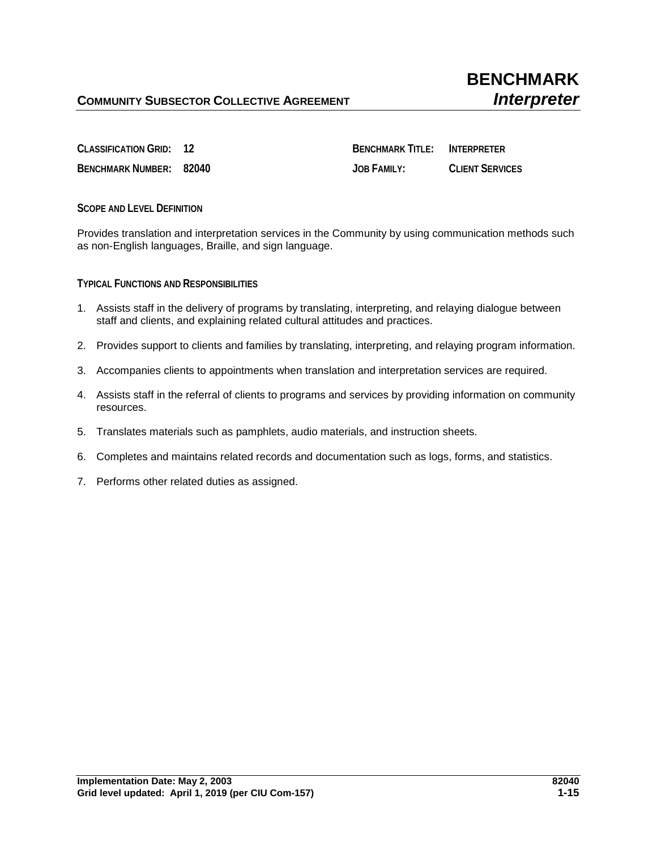**CLASSIFICATION GRID: 12 BENCHMARK TITLE: INTERPRETER BENCHMARK NUMBER: 82040 JOB FAMILY: CLIENT SERVICES**

**SCOPE AND LEVEL DEFINITION**

Provides translation and interpretation services in the Community by using communication methods such as non-English languages, Braille, and sign language.

**TYPICAL FUNCTIONS AND RESPONSIBILITIES**

- 1. Assists staff in the delivery of programs by translating, interpreting, and relaying dialogue between staff and clients, and explaining related cultural attitudes and practices.
- 2. Provides support to clients and families by translating, interpreting, and relaying program information.
- 3. Accompanies clients to appointments when translation and interpretation services are required.
- 4. Assists staff in the referral of clients to programs and services by providing information on community resources.
- 5. Translates materials such as pamphlets, audio materials, and instruction sheets.
- 6. Completes and maintains related records and documentation such as logs, forms, and statistics.
- 7. Performs other related duties as assigned.